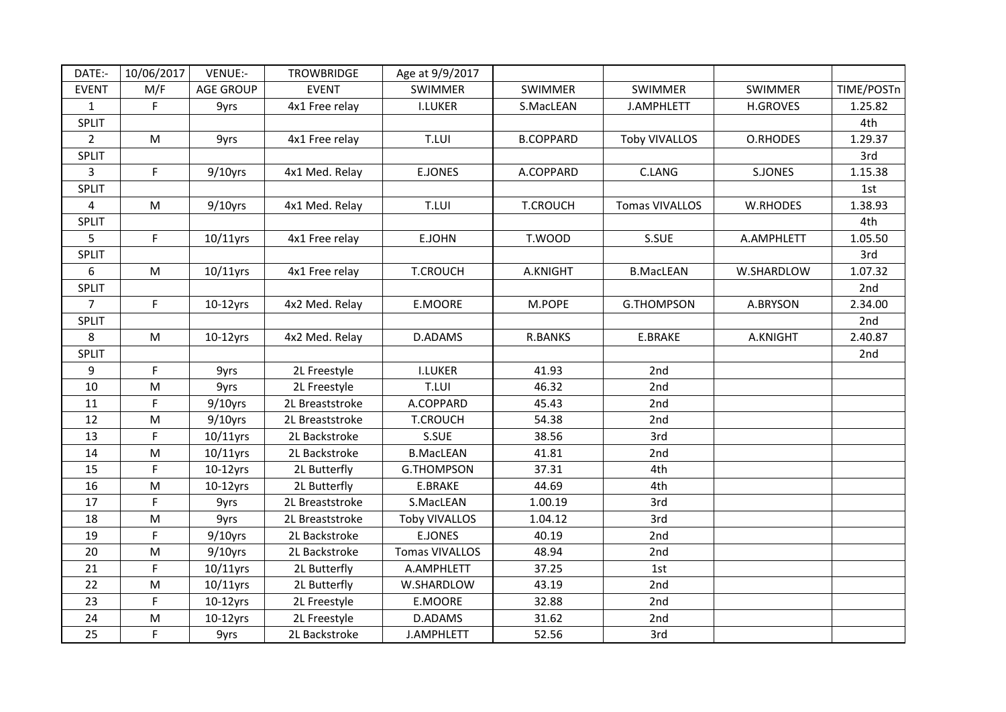| DATE:-         | 10/06/2017  | VENUE:-          | <b>TROWBRIDGE</b> | Age at 9/9/2017      |                  |                      |                 |            |
|----------------|-------------|------------------|-------------------|----------------------|------------------|----------------------|-----------------|------------|
| <b>EVENT</b>   | M/F         | <b>AGE GROUP</b> | <b>EVENT</b>      | <b>SWIMMER</b>       | <b>SWIMMER</b>   | <b>SWIMMER</b>       | <b>SWIMMER</b>  | TIME/POSTn |
| $\mathbf{1}$   | F           | 9yrs             | 4x1 Free relay    | <b>I.LUKER</b>       | S.MacLEAN        | <b>J.AMPHLETT</b>    | <b>H.GROVES</b> | 1.25.82    |
| SPLIT          |             |                  |                   |                      |                  |                      |                 | 4th        |
| $2^{\circ}$    | M           | 9yrs             | 4x1 Free relay    | T.LUI                | <b>B.COPPARD</b> | <b>Toby VIVALLOS</b> | O.RHODES        | 1.29.37    |
| <b>SPLIT</b>   |             |                  |                   |                      |                  |                      |                 | 3rd        |
| 3              | $\mathsf F$ | $9/10$ yrs       | 4x1 Med. Relay    | <b>E.JONES</b>       | A.COPPARD        | C.LANG               | S.JONES         | 1.15.38    |
| SPLIT          |             |                  |                   |                      |                  |                      |                 | 1st        |
| 4              | M           | $9/10$ yrs       | 4x1 Med. Relay    | T.LUI                | <b>T.CROUCH</b>  | Tomas VIVALLOS       | W.RHODES        | 1.38.93    |
| <b>SPLIT</b>   |             |                  |                   |                      |                  |                      |                 | 4th        |
| 5              | $\mathsf F$ | $10/11$ yrs      | 4x1 Free relay    | E.JOHN               | T.WOOD           | S.SUE                | A.AMPHLETT      | 1.05.50    |
| SPLIT          |             |                  |                   |                      |                  |                      |                 | 3rd        |
| 6              | M           | 10/11yrs         | 4x1 Free relay    | <b>T.CROUCH</b>      | A.KNIGHT         | <b>B.MacLEAN</b>     | W.SHARDLOW      | 1.07.32    |
| SPLIT          |             |                  |                   |                      |                  |                      |                 | 2nd        |
| $\overline{7}$ | $\mathsf F$ | $10-12$ yrs      | 4x2 Med. Relay    | E.MOORE              | M.POPE           | <b>G.THOMPSON</b>    | A.BRYSON        | 2.34.00    |
| SPLIT          |             |                  |                   |                      |                  |                      |                 | 2nd        |
| 8              | M           | $10-12$ yrs      | 4x2 Med. Relay    | D.ADAMS              | <b>R.BANKS</b>   | E.BRAKE              | A.KNIGHT        | 2.40.87    |
| <b>SPLIT</b>   |             |                  |                   |                      |                  |                      |                 | 2nd        |
| 9              | F           | 9yrs             | 2L Freestyle      | <b>I.LUKER</b>       | 41.93            | 2nd                  |                 |            |
| 10             | M           | 9yrs             | 2L Freestyle      | T.LUI                | 46.32            | 2nd                  |                 |            |
| 11             | F           | $9/10$ yrs       | 2L Breaststroke   | A.COPPARD            | 45.43            | 2nd                  |                 |            |
| 12             | M           | $9/10$ yrs       | 2L Breaststroke   | <b>T.CROUCH</b>      | 54.38            | 2nd                  |                 |            |
| 13             | $\mathsf F$ | $10/11$ yrs      | 2L Backstroke     | S.SUE                | 38.56            | 3rd                  |                 |            |
| 14             | M           | $10/11$ yrs      | 2L Backstroke     | <b>B.MacLEAN</b>     | 41.81            | 2nd                  |                 |            |
| 15             | F           | $10-12$ yrs      | 2L Butterfly      | G.THOMPSON           | 37.31            | 4th                  |                 |            |
| 16             | M           | $10-12$ yrs      | 2L Butterfly      | E.BRAKE              | 44.69            | 4th                  |                 |            |
| 17             | F           | 9yrs             | 2L Breaststroke   | S.MacLEAN            | 1.00.19          | 3rd                  |                 |            |
| 18             | M           | 9yrs             | 2L Breaststroke   | <b>Toby VIVALLOS</b> | 1.04.12          | 3rd                  |                 |            |
| 19             | F           | $9/10$ yrs       | 2L Backstroke     | <b>E.JONES</b>       | 40.19            | 2nd                  |                 |            |
| 20             | ${\sf M}$   | $9/10$ yrs       | 2L Backstroke     | Tomas VIVALLOS       | 48.94            | 2nd                  |                 |            |
| 21             | F           | $10/11$ yrs      | 2L Butterfly      | A.AMPHLETT           | 37.25            | 1st                  |                 |            |
| 22             | M           | $10/11$ yrs      | 2L Butterfly      | W.SHARDLOW           | 43.19            | 2nd                  |                 |            |
| 23             | F           | $10-12$ yrs      | 2L Freestyle      | E.MOORE              | 32.88            | 2nd                  |                 |            |
| 24             | M           | $10-12$ yrs      | 2L Freestyle      | D.ADAMS              | 31.62            | 2nd                  |                 |            |
| 25             | $\mathsf F$ | 9yrs             | 2L Backstroke     | J.AMPHLETT           | 52.56            | 3rd                  |                 |            |